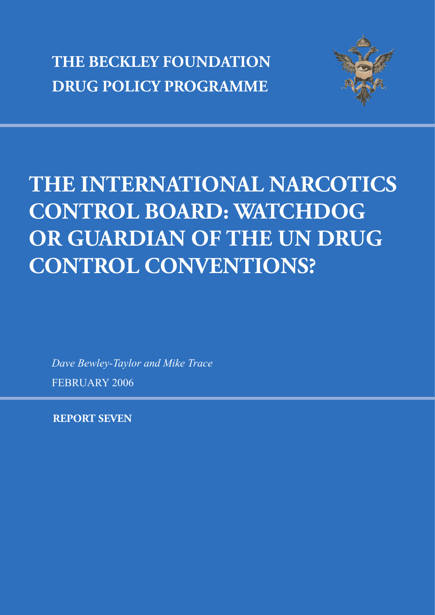**THE BECKLEY FOUNDATION DRUG POLICY PROGRAMME**



# **THE INTERNATIONAL NARCOTICS CONTROL BOARD: WATCHDOG OR GUARDIAN OF THE UN DRUG CONTROL CONVENTIONS?**

*Dave Bewley-Taylor and Mike Trace* FEBRUARY 2006

**REPORT SEVEN**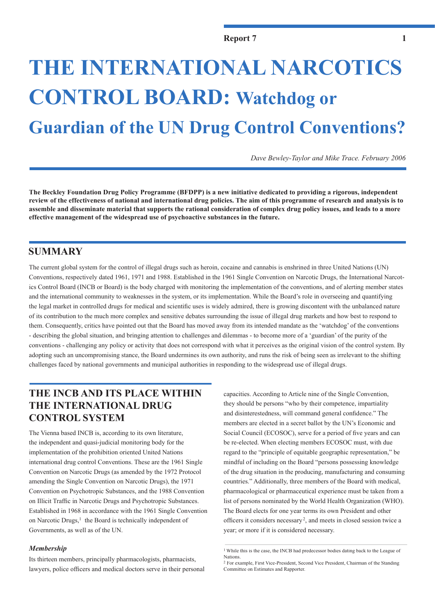# **THE INTERNATIONAL NARCOTICS CONTROL BOARD: Watchdog or Guardian of the UN Drug Control Conventions?**

*Dave Bewley-Taylor and Mike Trace. February 2006*

**The Beckley Foundation Drug Policy Programme (BFDPP) is a new initiative dedicated to providing a rigorous, independent review of the effectiveness of national and international drug policies. The aim of this programme of research and analysis is to assemble and disseminate material that supports the rational consideration of complex drug policy issues, and leads to a more effective management of the widespread use of psychoactive substances in the future.**

## **SUMMARY**

The current global system for the control of illegal drugs such as heroin, cocaine and cannabis is enshrined in three United Nations (UN) Conventions, respectively dated 1961, 1971 and 1988. Established in the 1961 Single Convention on Narcotic Drugs, the International Narcotics Control Board (INCB or Board) is the body charged with monitoring the implementation of the conventions, and of alerting member states and the international community to weaknesses in the system, or its implementation. While the Board's role in overseeing and quantifying the legal market in controlled drugs for medical and scientific uses is widely admired, there is growing discontent with the unbalanced nature of its contribution to the much more complex and sensitive debates surrounding the issue of illegal drug markets and how best to respond to them. Consequently, critics have pointed out that the Board has moved away from its intended mandate as the 'watchdog' of the conventions - describing the global situation, and bringing attention to challenges and dilemmas - to become more of a 'guardian' of the purity of the conventions - challenging any policy or activity that does not correspond with what it perceives as the original vision of the control system. By adopting such an uncompromising stance, the Board undermines its own authority, and runs the risk of being seen as irrelevant to the shifting challenges faced by national governments and municipal authorities in responding to the widespread use of illegal drugs.

# **THE INCB AND ITS PLACE WITHIN THE INTERNATIONAL DRUG CONTROL SYSTEM**

The Vienna based INCB is, according to its own literature, the independent and quasi-judicial monitoring body for the implementation of the prohibition oriented United Nations international drug control Conventions. These are the 1961 Single Convention on Narcotic Drugs (as amended by the 1972 Protocol amending the Single Convention on Narcotic Drugs), the 1971 Convention on Psychotropic Substances, and the 1988 Convention on Illicit Traffic in Narcotic Drugs and Psychotropic Substances. Established in 1968 in accordance with the 1961 Single Convention on Narcotic Drugs,<sup>1</sup> the Board is technically independent of Governments, as well as of the UN.

### *Membership*

Its thirteen members, principally pharmacologists, pharmacists, lawyers, police officers and medical doctors serve in their personal capacities. According to Article nine of the Single Convention, they should be persons "who by their competence, impartiality and disinterestedness, will command general confidence." The members are elected in a secret ballot by the UN's Economic and Social Council (ECOSOC), serve for a period of five years and can be re-elected. When electing members ECOSOC must, with due regard to the "principle of equitable geographic representation," be mindful of including on the Board "persons possessing knowledge of the drug situation in the producing, manufacturing and consuming countries." Additionally, three members of the Board with medical, pharmacological or pharmaceutical experience must be taken from a list of persons nominated by the World Health Organization (WHO). The Board elects for one year terms its own President and other officers it considers necessary<sup>2</sup>, and meets in closed session twice a year; or more if it is considered necessary.

<sup>&</sup>lt;sup>1</sup> While this is the case, the INCB had predecessor bodies dating back to the League of **Nations** 

<sup>2</sup> For example, First Vice-President, Second Vice President, Chairman of the Standing Committee on Estimates and Rapporter.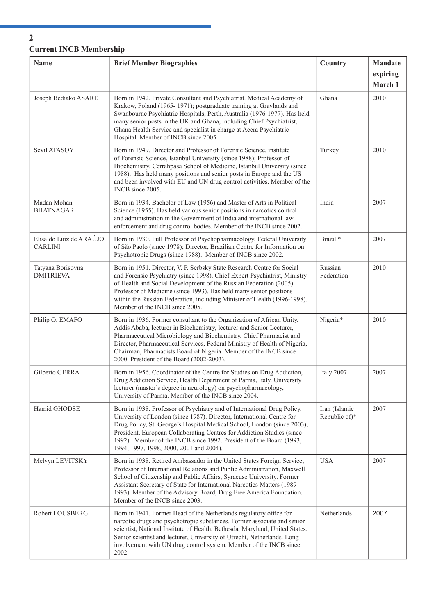# **Current INCB Membership**

| <b>Name</b>                               | <b>Brief Member Biographies</b>                                                                                                                                                                                                                                                                                                                                                                                         | Country                        | Mandate         |
|-------------------------------------------|-------------------------------------------------------------------------------------------------------------------------------------------------------------------------------------------------------------------------------------------------------------------------------------------------------------------------------------------------------------------------------------------------------------------------|--------------------------------|-----------------|
|                                           |                                                                                                                                                                                                                                                                                                                                                                                                                         |                                | expiring        |
| Joseph Bediako ASARE                      | Born in 1942. Private Consultant and Psychiatrist. Medical Academy of<br>Krakow, Poland (1965-1971); postgraduate training at Graylands and<br>Swanbourne Psychiatric Hospitals, Perth, Australia (1976-1977). Has held<br>many senior posts in the UK and Ghana, including Chief Psychiatrist,<br>Ghana Health Service and specialist in charge at Accra Psychiatric<br>Hospital. Member of INCB since 2005.           | Ghana                          | March 1<br>2010 |
| Sevil ATASOY                              | Born in 1949. Director and Professor of Forensic Science, institute<br>of Forensic Science, Istanbul University (since 1988); Professor of<br>Biochemistry, Cerrahpasa School of Medicine, Istanbul University (since<br>1988). Has held many positions and senior posts in Europe and the US<br>and been involved with EU and UN drug control activities. Member of the<br>INCB since 2005.                            | Turkey                         | 2010            |
| Madan Mohan<br><b>BHATNAGAR</b>           | Born in 1934. Bachelor of Law (1956) and Master of Arts in Political<br>Science (1955). Has held various senior positions in narcotics control<br>and administration in the Government of India and international law<br>enforcement and drug control bodies. Member of the INCB since 2002.                                                                                                                            | India                          | 2007            |
| Elisaldo Luiz de ARAÚJO<br><b>CARLINI</b> | Born in 1930. Full Professor of Psychopharmacology, Federal University<br>of São Paolo (since 1978); Director, Brazilian Centre for Information on<br>Psychotropic Drugs (since 1988). Member of INCB since 2002.                                                                                                                                                                                                       | Brazil <sup>*</sup>            | 2007            |
| Tatyana Borisovna<br><b>DMITRIEVA</b>     | Born in 1951. Director, V. P. Serbsky State Research Centre for Social<br>and Forensic Psychiatry (since 1998). Chief Expert Psychiatrist, Ministry<br>of Health and Social Development of the Russian Federation (2005).<br>Professor of Medicine (since 1993). Has held many senior positions<br>within the Russian Federation, including Minister of Health (1996-1998).<br>Member of the INCB since 2005.           | Russian<br>Federation          | 2010            |
| Philip O. EMAFO                           | Born in 1936. Former consultant to the Organization of African Unity,<br>Addis Ababa, lecturer in Biochemistry, lecturer and Senior Lecturer,<br>Pharmaceutical Microbiology and Biochemistry, Chief Pharmacist and<br>Director, Pharmaceutical Services, Federal Ministry of Health of Nigeria,<br>Chairman, Pharmacists Board of Nigeria. Member of the INCB since<br>2000. President of the Board (2002-2003).       | Nigeria*                       | 2010            |
| Gilberto GERRA                            | Born in 1956. Coordinator of the Centre for Studies on Drug Addiction,<br>Drug Addiction Service, Health Department of Parma, Italy. University<br>lecturer (master's degree in neurology) on psychopharmacology,<br>University of Parma. Member of the INCB since 2004.                                                                                                                                                | Italy 2007                     | 2007            |
| Hamid GHODSE                              | Born in 1938. Professor of Psychiatry and of International Drug Policy,<br>University of London (since 1987). Director, International Centre for<br>Drug Policy, St. George's Hospital Medical School, London (since 2003);<br>President, European Collaborating Centres for Addiction Studies (since<br>1992). Member of the INCB since 1992. President of the Board (1993,<br>1994, 1997, 1998, 2000, 2001 and 2004). | Iran (Islamic<br>Republic of)* | 2007            |
| Melvyn LEVITSKY                           | Born in 1938. Retired Ambassador in the United States Foreign Service;<br>Professor of International Relations and Public Administration, Maxwell<br>School of Citizenship and Public Affairs, Syracuse University. Former<br>Assistant Secretary of State for International Narcotics Matters (1989-<br>1993). Member of the Advisory Board, Drug Free America Foundation.<br>Member of the INCB since 2003.           | <b>USA</b>                     | 2007            |
| Robert LOUSBERG                           | Born in 1941. Former Head of the Netherlands regulatory office for<br>narcotic drugs and psychotropic substances. Former associate and senior<br>scientist, National Institute of Health, Bethesda, Maryland, United States.<br>Senior scientist and lecturer, University of Utrecht, Netherlands. Long<br>involvement with UN drug control system. Member of the INCB since<br>2002.                                   | Netherlands                    | 2007            |

## **2**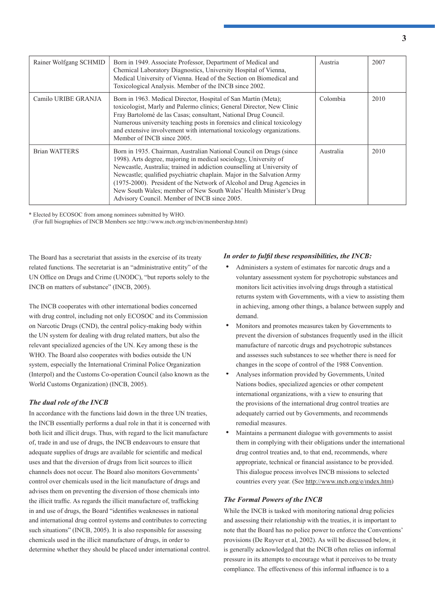| Rainer Wolfgang SCHMID | Born in 1949. Associate Professor, Department of Medical and<br>Chemical Laboratory Diagnostics, University Hospital of Vienna,<br>Medical University of Vienna. Head of the Section on Biomedical and<br>Toxicological Analysis. Member of the INCB since 2002.                                                                                                                                                                                                                            | Austria   | 2007 |
|------------------------|---------------------------------------------------------------------------------------------------------------------------------------------------------------------------------------------------------------------------------------------------------------------------------------------------------------------------------------------------------------------------------------------------------------------------------------------------------------------------------------------|-----------|------|
| Camilo URIBE GRANJA    | Born in 1963. Medical Director, Hospital of San Martín (Meta);<br>toxicologist, Marly and Palermo clinics; General Director, New Clinic<br>Fray Bartolomé de las Casas; consultant, National Drug Council.<br>Numerous university teaching posts in forensics and clinical toxicology<br>and extensive involvement with international toxicology organizations.<br>Member of INCB since 2005.                                                                                               | Colombia  | 2010 |
| <b>Brian WATTERS</b>   | Born in 1935. Chairman, Australian National Council on Drugs (since<br>1998). Arts degree, majoring in medical sociology, University of<br>Newcastle, Australia; trained in addiction counselling at University of<br>Newcastle; qualified psychiatric chaplain. Major in the Salvation Army<br>(1975-2000). President of the Network of Alcohol and Drug Agencies in<br>New South Wales; member of New South Wales' Health Minister's Drug<br>Advisory Council. Member of INCB since 2005. | Australia | 2010 |

\* Elected by ECOSOC from among nominees submitted by WHO.

(For full biographies of INCB Members see http://www.incb.org/incb/en/membership.html)

The Board has a secretariat that assists in the exercise of its treaty related functions. The secretariat is an "administrative entity" of the UN Office on Drugs and Crime (UNODC), "but reports solely to the INCB on matters of substance" (INCB, 2005).

The INCB cooperates with other international bodies concerned with drug control, including not only ECOSOC and its Commission on Narcotic Drugs (CND), the central policy-making body within the UN system for dealing with drug related matters, but also the relevant specialized agencies of the UN. Key among these is the WHO. The Board also cooperates with bodies outside the UN system, especially the International Criminal Police Organization (Interpol) and the Customs Co-operation Council (also known as the World Customs Organization) (INCB, 2005).

## *The dual role of the INCB*

In accordance with the functions laid down in the three UN treaties, the INCB essentially performs a dual role in that it is concerned with both licit and illicit drugs. Thus, with regard to the licit manufacture of, trade in and use of drugs, the INCB endeavours to ensure that adequate supplies of drugs are available for scientific and medical uses and that the diversion of drugs from licit sources to illicit channels does not occur. The Board also monitors Governments' control over chemicals used in the licit manufacture of drugs and advises them on preventing the diversion of those chemicals into the illicit traffic. As regards the illicit manufacture of, trafficking in and use of drugs, the Board "identifies weaknesses in national and international drug control systems and contributes to correcting such situations" (INCB, 2005). It is also responsible for assessing chemicals used in the illicit manufacture of drugs, in order to determine whether they should be placed under international control.

## In order to fulfil these responsibilities, the INCB:

- Administers a system of estimates for narcotic drugs and a voluntary assessment system for psychotropic substances and monitors licit activities involving drugs through a statistical returns system with Governments, with a view to assisting them in achieving, among other things, a balance between supply and demand.
- Monitors and promotes measures taken by Governments to prevent the diversion of substances frequently used in the illicit manufacture of narcotic drugs and psychotropic substances and assesses such substances to see whether there is need for changes in the scope of control of the 1988 Convention.
- Analyses information provided by Governments, United Nations bodies, specialized agencies or other competent international organizations, with a view to ensuring that the provisions of the international drug control treaties are adequately carried out by Governments, and recommends remedial measures.
- Maintains a permanent dialogue with governments to assist them in complying with their obligations under the international drug control treaties and, to that end, recommends, where appropriate, technical or financial assistance to be provided. This dialogue process involves INCB missions to selected countries every year. (See http://www.incb.org/e/index.htm)

## *The Formal Powers of the INCB*

While the INCB is tasked with monitoring national drug policies and assessing their relationship with the treaties, it is important to note that the Board has no police power to enforce the Conventions' provisions (De Ruyver et al, 2002). As will be discussed below, it is generally acknowledged that the INCB often relies on informal pressure in its attempts to encourage what it perceives to be treaty compliance. The effectiveness of this informal influence is to a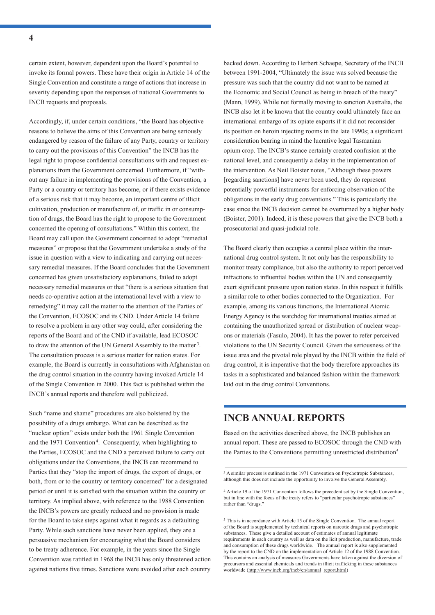certain extent, however, dependent upon the Board's potential to invoke its formal powers. These have their origin in Article 14 of the Single Convention and constitute a range of actions that increase in severity depending upon the responses of national Governments to INCB requests and proposals.

Accordingly, if, under certain conditions, "the Board has objective reasons to believe the aims of this Convention are being seriously endangered by reason of the failure of any Party, country or territory to carry out the provisions of this Convention" the INCB has the legal right to propose confidential consultations with and request explanations from the Government concerned. Furthermore, if "without any failure in implementing the provisions of the Convention, a Party or a country or territory has become, or if there exists evidence of a serious risk that it may become, an important centre of illicit cultivation, production or manufacture of, or traffic in or consumption of drugs, the Board has the right to propose to the Government concerned the opening of consultations." Within this context, the Board may call upon the Government concerned to adopt "remedial measures" or propose that the Government undertake a study of the issue in question with a view to indicating and carrying out necessary remedial measures. If the Board concludes that the Government concerned has given unsatisfactory explanations, failed to adopt necessary remedial measures or that "there is a serious situation that needs co-operative action at the international level with a view to remedying" it may call the matter to the attention of the Parties of the Convention, ECOSOC and its CND. Under Article 14 failure to resolve a problem in any other way could, after considering the reports of the Board and of the CND if available, lead ECOSOC to draw the attention of the UN General Assembly to the matter 3. The consultation process is a serious matter for nation states. For example, the Board is currently in consultations with Afghanistan on the drug control situation in the country having invoked Article 14 of the Single Convention in 2000. This fact is published within the INCB's annual reports and therefore well publicized.

Such "name and shame" procedures are also bolstered by the possibility of a drugs embargo. What can be described as the "nuclear option" exists under both the 1961 Single Convention and the 1971 Convention<sup>4</sup>. Consequently, when highlighting to the Parties, ECOSOC and the CND a perceived failure to carry out obligations under the Conventions, the INCB can recommend to Parties that they "stop the import of drugs, the export of drugs, or both, from or to the country or territory concerned" for a designated period or until it is satisfied with the situation within the country or territory. As implied above, with reference to the 1988 Convention the INCB's powers are greatly reduced and no provision is made for the Board to take steps against what it regards as a defaulting Party. While such sanctions have never been applied, they are a persuasive mechanism for encouraging what the Board considers to be treaty adherence. For example, in the years since the Single Convention was ratified in 1968 the INCB has only threatened action against nations five times. Sanctions were avoided after each country

backed down. According to Herbert Schaepe, Secretary of the INCB between 1991-2004, "Ultimately the issue was solved because the pressure was such that the country did not want to be named at the Economic and Social Council as being in breach of the treaty" (Mann, 1999). While not formally moving to sanction Australia, the INCB also let it be known that the country could ultimately face an international embargo of its opiate exports if it did not reconsider its position on heroin injecting rooms in the late 1990s; a significant consideration bearing in mind the lucrative legal Tasmanian opium crop. The INCB's stance certainly created confusion at the national level, and consequently a delay in the implementation of the intervention. As Neil Boister notes, "Although these powers [regarding sanctions] have never been used, they do represent potentially powerful instruments for enforcing observation of the obligations in the early drug conventions." This is particularly the case since the INCB decision cannot be overturned by a higher body (Boister, 2001). Indeed, it is these powers that give the INCB both a prosecutorial and quasi-judicial role.

The Board clearly then occupies a central place within the international drug control system. It not only has the responsibility to monitor treaty compliance, but also the authority to report perceived infractions to influential bodies within the UN and consequently exert significant pressure upon nation states. In this respect it fulfills a similar role to other bodies connected to the Organization. For example, among its various functions, the International Atomic Energy Agency is the watchdog for international treaties aimed at containing the unauthorized spread or distribution of nuclear weapons or materials (Fasulo, 2004). It has the power to refer perceived violations to the UN Security Council. Given the seriousness of the issue area and the pivotal role played by the INCB within the field of drug control, it is imperative that the body therefore approaches its tasks in a sophisticated and balanced fashion within the framework laid out in the drug control Conventions.

## **INCB ANNUAL REPORTS**

Based on the activities described above, the INCB publishes an annual report. These are passed to ECOSOC through the CND with the Parties to the Conventions permitting unrestricted distribution<sup>5</sup>.

<sup>5</sup> This is in accordance with Article 15 of the Single Convention. The annual report of the Board is supplemented by technical reports on narcotic drugs and psychotropic substances. These give a detailed account of estimates of annual legitimate requirements in each country as well as data on the licit production, manufacture, trade and consumption of these drugs worldwide. The annual report is also supplemented by the report to the CND on the implementation of Article 12 of the 1988 Convention. This contains an analysis of measures Governments have taken against the diversion of precursors and essential chemicals and trends in illicit trafficking in these substances worldwide (http://www.incb.org/incb/en/annual\_report.html)

<sup>&</sup>lt;sup>3</sup> A similar process is outlined in the 1971 Convention on Psychotropic Substances, although this does not include the opportunity to involve the General Assembly.

<sup>4</sup> Article 19 of the 1971 Convention follows the precedent set by the Single Convention, but in line with the focus of the treaty refers to "particular psychotropic substances" rather than "drugs.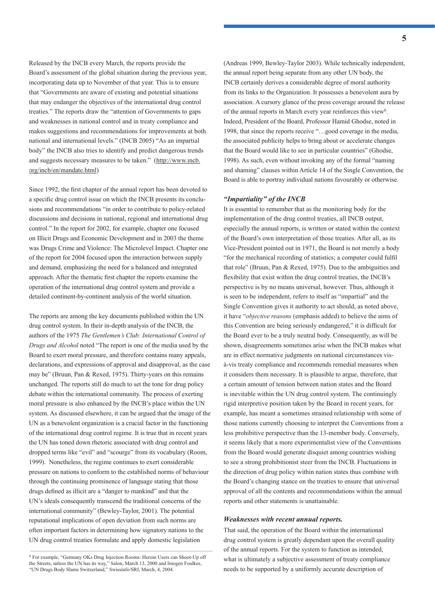Released by the INCB every March, the reports provide the Board's assessment of the global situation during the previous year, incorporating data up to November of that year. This is to ensure that "Governments are aware of existing and potential situations that may endanger the objectives of the international drug control treaties." The reports draw the "attention of Governments to gaps and weaknesses in national control and in treaty compliance and makes suggestions and recommendations for improvements at both national and international levels." (INCB 2005) "As an impartial body" the INCB also tries to identify and predict dangerous trends and suggests necessary measures to be taken." (http://www.incb. org/incb/en/mandate.html)

Since 1992, the first chapter of the annual report has been devoted to a specific drug control issue on which the INCB presents its conclusions and recommendations "in order to contribute to policy-related discussions and decisions in national, regional and international drug control." In the report for 2002, for example, chapter one focused on Illicit Drugs and Economic Development and in 2003 the theme was Drugs Crime and Violence: The Microlevel Impact. Chapter one of the report for 2004 focused upon the interaction between supply and demand, emphasizing the need for a balanced and integrated approach. After the thematic first chapter the reports examine the operation of the international drug control system and provide a detailed continent-by-continent analysis of the world situation.

The reports are among the key documents published within the UN drug control system. In their in-depth analysis of the INCB, the authors of the 1975 *The Gentlemen's Club: International Control of Drugs and Alcohol* noted "The report is one of the media used by the Board to exert moral pressure, and therefore contains many appeals, declarations, and expressions of approval and disapproval, as the case may be" (Bruun, Pan & Rexed, 1975). Thirty-years on this remains unchanged. The reports still do much to set the tone for drug policy debate within the international community. The process of exerting moral pressure is also enhanced by the INCB's place within the UN system. As discussed elsewhere, it can be argued that the image of the UN as a benevolent organization is a crucial factor in the functioning of the international drug control regime. It is true that in recent years the UN has toned down rhetoric associated with drug control and dropped terms like "evil" and "scourge" from its vocabulary (Room, 1999). Nonetheless, the regime continues to exert considerable pressure on nations to conform to the established norms of behaviour through the continuing prominence of language stating that those drugs defined as illicit are a "danger to mankind" and that the UN's ideals consequently transcend the traditional concerns of the international community" (Bewley-Taylor, 2001). The potential reputational implications of open deviation from such norms are often important factors in determining how signatory nations to the UN drug control treaties formulate and apply domestic legislation

(Andreas 1999, Bewley-Taylor 2003). While technically independent, the annual report being separate from any other UN body, the INCB certainly derives a considerable degree of moral authority from its links to the Organization. It possesses a benevolent aura by association. A cursory glance of the press coverage around the release of the annual reports in March every year reinforces this view<sup>6</sup>. Indeed, President of the Board, Professor Hamid Ghodse, noted in 1998, that since the reports receive "…good coverage in the media, the associated publicity helps to bring about or accelerate changes that the Board would like to see in particular countries" (Ghodse, 1998). As such, even without invoking any of the formal "naming and shaming" clauses within Article 14 of the Single Convention, the Board is able to portray individual nations favourably or otherwise.

### *"Impartiality" of the INCB*

It is essential to remember that as the monitoring body for the implementation of the drug control treaties, all INCB output, especially the annual reports, is written or stated within the context of the Board's own interpretation of those treaties. After all, as its Vice-President pointed out in 1971, the Board is not merely a body "for the mechanical recording of statistics; a computer could fulfil that role" (Bruun, Pan & Rexed, 1975). Due to the ambiguities and flexibility that exist within the drug control treaties, the INCB's perspective is by no means universal, however. Thus, although it is seen to be independent, refers to itself as "impartial" and the Single Convention gives it authority to act should, as noted above, it have "*objective reasons* (emphasis added) to believe the aims of this Convention are being seriously endangered," it is difficult for the Board ever to be a truly neutral body. Consequently, as will be shown, disagreements sometimes arise when the INCB makes what are in effect normative judgments on national circumstances visà-vis treaty compliance and recommends remedial measures when it considers them necessary. It is plausible to argue, therefore, that a certain amount of tension between nation states and the Board is inevitable within the UN drug control system. The continuingly rigid interpretive position taken by the Board in recent years, for example, has meant a sometimes strained relationship with some of those nations currently choosing to interpret the Conventions from a less prohibitive perspective than the 13-member body. Conversely, it seems likely that a more experimentalist view of the Conventions from the Board would generate disquiet among countries wishing to see a strong prohibitionist steer from the INCB. Fluctuations in the direction of drug policy within nation states thus combine with the Board's changing stance on the treaties to ensure that universal approval of all the contents and recommendations within the annual reports and other statements is unattainable.

#### *Weaknesses with recent annual reports.*

That said, the operation of the Board within the international drug control system is greatly dependant upon the overall quality of the annual reports. For the system to function as intended, what is ultimately a subjective assessment of treaty compliance needs to be supported by a uniformly accurate description of

<sup>6</sup> For example, "Germany OKs Drug Injection Rooms: Heroin Users can Shoot-Up off the Streets, unless the UN has its way," Salon, March 13, 2000 and Imogen Foulkes, "UN Drugs Body Slams Switzerland," Swissinfo/SRI, March, 4, 2004.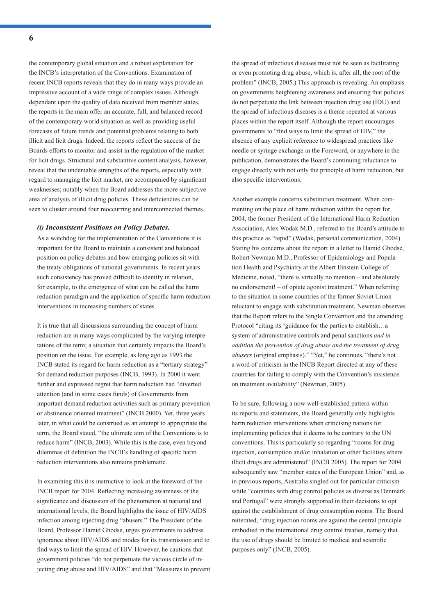the contemporary global situation and a robust explanation for the INCB's interpretation of the Conventions. Examination of recent INCB reports reveals that they do in many ways provide an impressive account of a wide range of complex issues. Although dependant upon the quality of data received from member states, the reports in the main offer an accurate, full, and balanced record of the contemporary world situation as well as providing useful forecasts of future trends and potential problems relating to both illicit and licit drugs. Indeed, the reports reflect the success of the Boards efforts to monitor and assist in the regulation of the market for licit drugs. Structural and substantive content analysis, however, reveal that the undeniable strengths of the reports, especially with regard to managing the licit market, are accompanied by significant weaknesses; notably when the Board addresses the more subjective area of analysis of illicit drug policies. These deficiencies can be seen to cluster around four reoccurring and interconnected themes.

#### *(i) Inconsistent Positions on Policy Debates.*

As a watchdog for the implementation of the Conventions it is important for the Board to maintain a consistent and balanced position on policy debates and how emerging policies sit with the treaty obligations of national governments. In recent years such consistency has proved difficult to identify in relation, for example, to the emergence of what can be called the harm reduction paradigm and the application of specific harm reduction interventions in increasing numbers of states.

It is true that all discussions surrounding the concept of harm reduction are in many ways complicated by the varying interpretations of the term; a situation that certainly impacts the Board's position on the issue. For example, as long ago as 1993 the INCB stated its regard for harm reduction as a "tertiary strategy" for demand reduction purposes (INCB, 1993). In 2000 it went further and expressed regret that harm reduction had "diverted attention (and in some cases funds) of Governments from important demand reduction activities such as primary prevention or abstinence oriented treatment" (INCB 2000). Yet, three years later, in what could be construed as an attempt to appropriate the term, the Board stated, "the ultimate aim of the Conventions is to reduce harm" (INCB, 2003). While this is the case, even beyond dilemmas of definition the INCB's handling of specific harm reduction interventions also remains problematic.

In examining this it is instructive to look at the foreword of the INCB report for 2004. Reflecting increasing awareness of the significance and discussion of the phenomenon at national and international levels, the Board highlights the issue of HIV/AIDS infection among injecting drug "abusers." The President of the Board, Professor Hamid Ghodse, urges governments to address ignorance about HIV/AIDS and modes for its transmission and to find ways to limit the spread of HIV. However, he cautions that government policies "do not perpetuate the vicious circle of injecting drug abuse and HIV/AIDS" and that "Measures to prevent the spread of infectious diseases must not be seen as facilitating or even promoting drug abuse, which is, after all, the root of the problem" (INCB, 2005.) This approach is revealing. An emphasis on governments heightening awareness and ensuring that policies do not perpetuate the link between injection drug use (IDU) and the spread of infectious diseases is a theme repeated at various places within the report itself. Although the report encourages governments to "find ways to limit the spread of HIV," the absence of any explicit reference to widespread practices like needle or syringe exchange in the Foreword, or anywhere in the publication, demonstrates the Board's continuing reluctance to engage directly with not only the principle of harm reduction, but also specific interventions.

Another example concerns substitution treatment. When commenting on the place of harm reduction within the report for 2004, the former President of the International Harm Reduction Association, Alex Wodak M.D., referred to the Board's attitude to this practice as "tepid" (Wodak, personal communication, 2004). Stating his concerns about the report in a letter to Hamid Ghodse, Robert Newman M.D., Professor of Epidemiology and Population Health and Psychiatry at the Albert Einstein College of Medicine, noted, "there is virtually no mention – and absolutely no endorsement! – of opiate agonist treatment." When referring to the situation in some countries of the former Soviet Union reluctant to engage with substitution treatment, Newman observes that the Report refers to the Single Convention and the amending Protocol "citing its 'guidance for the parties to establish…a system of administrative controls and penal sanctions *and in addition the prevention of drug abuse and the treatment of drug abusers* (original emphasis)." "Yet," he continues, "there's not a word of criticism in the INCB Report directed at any of these countries for failing to comply with the Convention's insistence on treatment availability" (Newman, 2005).

To be sure, following a now well-established pattern within its reports and statements, the Board generally only highlights harm reduction interventions when criticising nations for implementing policies that it deems to be contrary to the UN conventions. This is particularly so regarding "rooms for drug injection, consumption and/or inhalation or other facilities where illicit drugs are administered" (INCB 2005). The report for 2004 subsequently saw "member states of the European Union" and, as in previous reports, Australia singled out for particular criticism while "countries with drug control policies as diverse as Denmark and Portugal" were strongly supported in their decisions to opt against the establishment of drug consumption rooms. The Board reiterated, "drug injection rooms are against the central principle embodied in the international drug control treaties, namely that the use of drugs should be limited to medical and scientific purposes only" (INCB, 2005).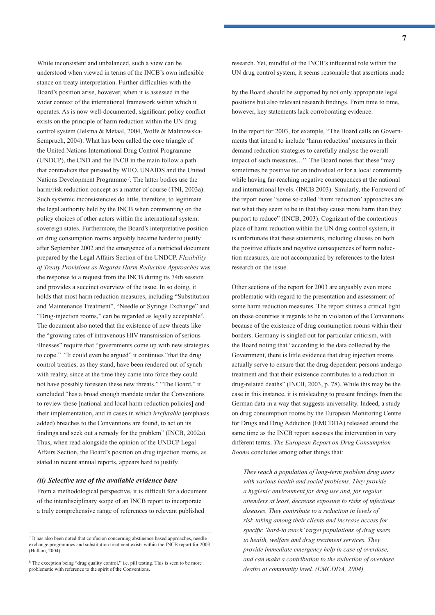While inconsistent and unbalanced, such a view can be understood when viewed in terms of the INCB's own inflexible stance on treaty interpretation. Further difficulties with the Board's position arise, however, when it is assessed in the wider context of the international framework within which it operates. As is now well-documented, significant policy conflict exists on the principle of harm reduction within the UN drug control system (Jelsma & Metaal, 2004, Wolfe & Malinowska-Sempruch, 2004). What has been called the core triangle of the United Nations International Drug Control Programme (UNDCP), the CND and the INCB in the main follow a path that contradicts that pursued by WHO, UNAIDS and the United Nations Development Programme 7. The latter bodies use the harm/risk reduction concept as a matter of course (TNI, 2003a). Such systemic inconsistencies do little, therefore, to legitimate the legal authority held by the INCB when commenting on the policy choices of other actors within the international system: sovereign states. Furthermore, the Board's interpretative position on drug consumption rooms arguably became harder to justify after September 2002 and the emergence of a restricted document prepared by the Legal Affairs Section of the UNDCP. *Flexibility of Treaty Provisions as Regards Harm Reduction Approaches* was the response to a request from the INCB during its 74th session and provides a succinct overview of the issue. In so doing, it holds that most harm reduction measures, including "Substitution and Maintenance Treatment", "Needle or Syringe Exchange" and "Drug-injection rooms," can be regarded as legally acceptable8. The document also noted that the existence of new threats like the "growing rates of intravenous HIV transmission of serious illnesses" require that "governments come up with new strategies to cope." "It could even be argued" it continues "that the drug control treaties, as they stand, have been rendered out of synch with reality, since at the time they came into force they could not have possibly foreseen these new threats." "The Board," it concluded "has a broad enough mandate under the Conventions to review these [national and local harm reduction policies] and their implementation, and in cases in which *irrefutable* (emphasis added) breaches to the Conventions are found, to act on its findings and seek out a remedy for the problem" (INCB, 2002a). Thus, when read alongside the opinion of the UNDCP Legal Affairs Section, the Board's position on drug injection rooms, as stated in recent annual reports, appears hard to justify.

#### *(ii) Selective use of the available evidence base*

From a methodological perspective, it is difficult for a document of the interdisciplinary scope of an INCB report to incorporate a truly comprehensive range of references to relevant published

research. Yet, mindful of the INCB's influential role within the UN drug control system, it seems reasonable that assertions made

by the Board should be supported by not only appropriate legal positions but also relevant research findings. From time to time, however, key statements lack corroborating evidence.

In the report for 2003, for example, "The Board calls on Governments that intend to include 'harm reduction' measures in their demand reduction strategies to carefully analyse the overall impact of such measures…" The Board notes that these "may sometimes be positive for an individual or for a local community while having far-reaching negative consequences at the national and international levels. (INCB 2003). Similarly, the Foreword of the report notes "some so-called 'harm reduction' approaches are not what they seem to be in that they cause more harm than they purport to reduce" (INCB, 2003). Cognizant of the contentious place of harm reduction within the UN drug control system, it is unfortunate that these statements, including clauses on both the positive effects and negative consequences of harm reduction measures, are not accompanied by references to the latest research on the issue.

Other sections of the report for 2003 are arguably even more problematic with regard to the presentation and assessment of some harm reduction measures. The report shines a critical light on those countries it regards to be in violation of the Conventions because of the existence of drug consumption rooms within their borders. Germany is singled out for particular criticism, with the Board noting that "according to the data collected by the Government, there is little evidence that drug injection rooms actually serve to ensure that the drug dependent persons undergo treatment and that their existence contributes to a reduction in drug-related deaths" (INCB, 2003, p. 78). While this may be the case in this instance, it is misleading to present findings from the German data in a way that suggests universality. Indeed, a study on drug consumption rooms by the European Monitoring Centre for Drugs and Drug Addiction (EMCDDA) released around the same time as the INCB report assesses the intervention in very different terms. *The European Report on Drug Consumption Rooms* concludes among other things that:

*They reach a population of long-term problem drug users with various health and social problems. They provide a hygienic environment for drug use and, for regular attenders at least, decrease exposure to risks of infectious diseases. They contribute to a reduction in levels of risk-taking among their clients and increase access for*  specific 'hard-to reach' target populations of drug users *to health, welfare and drug treatment services. They provide immediate emergency help in case of overdose, and can make a contribution to the reduction of overdose deaths at community level. (EMCDDA, 2004)*

<sup>7</sup> It has also been noted that confusion concerning abstinence based approaches, needle exchange programmes and substitution treatment exists within the INCB report for 2003 (Hallam, 2004)

<sup>8</sup> The exception being "drug quality control," i.e. pill testing. This is seen to be more problematic with reference to the spirit of the Conventions.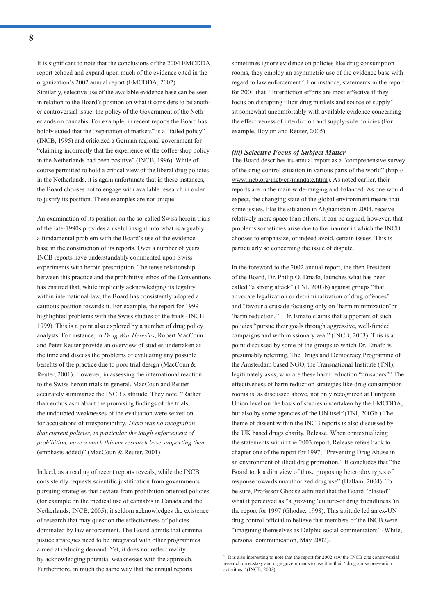It is significant to note that the conclusions of the 2004 EMCDDA report echoed and expand upon much of the evidence cited in the organization's 2002 annual report (EMCDDA, 2002). Similarly, selective use of the available evidence base can be seen in relation to the Board's position on what it considers to be another controversial issue; the policy of the Government of the Netherlands on cannabis. For example, in recent reports the Board has boldly stated that the "separation of markets" is a "failed policy" (INCB, 1995) and criticized a German regional government for "claiming incorrectly that the experience of the coffee-shop policy in the Netherlands had been positive" (INCB, 1996). While of course permitted to hold a critical view of the liberal drug policies in the Netherlands, it is again unfortunate that in these instances, the Board chooses not to engage with available research in order to justify its position. These examples are not unique.

An examination of its position on the so-called Swiss heroin trials of the late-1990s provides a useful insight into what is arguably a fundamental problem with the Board's use of the evidence base in the construction of its reports. Over a number of years INCB reports have understandably commented upon Swiss experiments with heroin prescription. The tense relationship between this practice and the prohibitive ethos of the Conventions has ensured that, while implicitly acknowledging its legality within international law, the Board has consistently adopted a cautious position towards it. For example, the report for 1999 highlighted problems with the Swiss studies of the trials (INCB 1999). This is a point also explored by a number of drug policy analysts. For instance, in *Drug War Heresies*, Robert MacCoun and Peter Reuter provide an overview of studies undertaken at the time and discuss the problems of evaluating any possible benefits of the practice due to poor trial design (MacCoun  $\&$ Reuter, 2001). However, in assessing the international reaction to the Swiss heroin trials in general, MacCoun and Reuter accurately summarize the INCB's attitude. They note, "Rather than enthusiasm about the promising findings of the trials, the undoubted weaknesses of the evaluation were seized on for accusations of irresponsibility. *There was no recognition that current policies, in particular the tough enforcement of prohibition, have a much thinner research base supporting them* (emphasis added)" (MacCoun & Reuter, 2001).

Indeed, as a reading of recent reports reveals, while the INCB consistently requests scientific justification from governments pursuing strategies that deviate from prohibition oriented policies (for example on the medical use of cannabis in Canada and the Netherlands, INCB, 2005), it seldom acknowledges the existence of research that may question the effectiveness of policies dominated by law enforcement. The Board admits that criminal justice strategies need to be integrated with other programmes aimed at reducing demand. Yet, it does not reflect reality by acknowledging potential weaknesses with the approach. Furthermore, in much the same way that the annual reports

sometimes ignore evidence on policies like drug consumption rooms, they employ an asymmetric use of the evidence base with regard to law enforcement<sup>9</sup>. For instance, statements in the report for 2004 that "Interdiction efforts are most effective if they focus on disrupting illicit drug markets and source of supply" sit somewhat uncomfortably with available evidence concerning the effectiveness of interdiction and supply-side policies (For example, Boyum and Reuter, 2005).

#### *(iii) Selective Focus of Subject Matter*

The Board describes its annual report as a "comprehensive survey of the drug control situation in various parts of the world" (http:// www.incb.org/incb/en/mandate.html). As noted earlier, their reports are in the main wide-ranging and balanced. As one would expect, the changing state of the global environment means that some issues, like the situation in Afghanistan in 2004, receive relatively more space than others. It can be argued, however, that problems sometimes arise due to the manner in which the INCB chooses to emphasize, or indeed avoid, certain issues. This is particularly so concerning the issue of dispute.

In the foreword to the 2002 annual report, the then President of the Board, Dr. Philip O. Emafo, launches what has been called "a strong attack" (TNI, 2003b) against groups "that advocate legalization or decriminalization of drug offences" and "favour a crusade focusing only on 'harm minimization'or 'harm reduction.'" Dr. Emafo claims that supporters of such policies "pursue their goals through aggressive, well-funded campaigns and with missionary zeal" (INCB, 2003). This is a point discussed by some of the groups to which Dr. Emafo is presumably referring. The Drugs and Democracy Programme of the Amsterdam based NGO, the Transnational Institute (TNI), legitimately asks, who are these harm reduction "crusaders"? The effectiveness of harm reduction strategies like drug consumption rooms is, as discussed above, not only recognized at European Union level on the basis of studies undertaken by the EMCDDA, but also by some agencies of the UN itself (TNI, 2003b.) The theme of dissent within the INCB reports is also discussed by the UK based drugs charity, Release. When contextualizing the statements within the 2003 report, Release refers back to chapter one of the report for 1997, "Preventing Drug Abuse in an environment of illicit drug promotion," It concludes that "the Board took a dim view of those proposing heterodox types of response towards unauthorized drug use" (Hallam, 2004). To be sure, Professor Ghodse admitted that the Board "blasted" what it perceived as "a growing 'culture-of drug friendliness"in the report for 1997 (Ghodse, 1998). This attitude led an ex-UN drug control official to believe that members of the INCB were "imagining themselves as Delphic social commentators" (White, personal communication, May 2002).

<sup>9</sup> It is also interesting to note that the report for 2002 saw the INCB cite controversial research on ecstasy and urge governments to use it in their "drug abuse prevention activities." (INCB, 2002)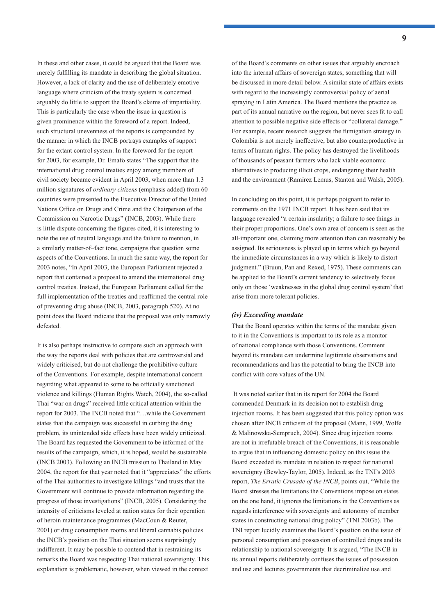In these and other cases, it could be argued that the Board was merely fulfilling its mandate in describing the global situation. However, a lack of clarity and the use of deliberately emotive language where criticism of the treaty system is concerned arguably do little to support the Board's claims of impartiality. This is particularly the case when the issue in question is given prominence within the foreword of a report. Indeed, such structural unevenness of the reports is compounded by the manner in which the INCB portrays examples of support for the extant control system. In the foreword for the report for 2003, for example, Dr. Emafo states "The support that the international drug control treaties enjoy among members of civil society became evident in April 2003, when more than 1.3 million signatures of *ordinary citizens* (emphasis added) from 60 countries were presented to the Executive Director of the United Nations Office on Drugs and Crime and the Chairperson of the Commission on Narcotic Drugs" (INCB, 2003). While there is little dispute concerning the figures cited, it is interesting to note the use of neutral language and the failure to mention, in a similarly matter-of–fact tone, campaigns that question some aspects of the Conventions. In much the same way, the report for 2003 notes, "In April 2003, the European Parliament rejected a report that contained a proposal to amend the international drug control treaties. Instead, the European Parliament called for the full implementation of the treaties and reaffirmed the central role of preventing drug abuse (INCB, 2003, paragraph 520). At no point does the Board indicate that the proposal was only narrowly defeated.

It is also perhaps instructive to compare such an approach with the way the reports deal with policies that are controversial and widely criticised, but do not challenge the prohibitive culture of the Conventions. For example, despite international concern regarding what appeared to some to be officially sanctioned violence and killings (Human Rights Watch, 2004), the so-called Thai "war on drugs" received little critical attention within the report for 2003. The INCB noted that "…while the Government states that the campaign was successful in curbing the drug problem, its unintended side effects have been widely criticized. The Board has requested the Government to be informed of the results of the campaign, which, it is hoped, would be sustainable (INCB 2003). Following an INCB mission to Thailand in May 2004, the report for that year noted that it "appreciates" the efforts of the Thai authorities to investigate killings "and trusts that the Government will continue to provide information regarding the progress of those investigations" (INCB, 2005). Considering the intensity of criticisms leveled at nation states for their operation of heroin maintenance programmes (MacCoun & Reuter, 2001) or drug consumption rooms and liberal cannabis policies the INCB's position on the Thai situation seems surprisingly indifferent. It may be possible to contend that in restraining its remarks the Board was respecting Thai national sovereignty. This explanation is problematic, however, when viewed in the context

of the Board's comments on other issues that arguably encroach into the internal affairs of sovereign states; something that will be discussed in more detail below. A similar state of affairs exists with regard to the increasingly controversial policy of aerial spraying in Latin America. The Board mentions the practice as part of its annual narrative on the region, but never sees fit to call attention to possible negative side effects or "collateral damage." For example, recent research suggests the fumigation strategy in Colombia is not merely ineffective, but also counterproductive in terms of human rights. The policy has destroyed the livelihoods of thousands of peasant farmers who lack viable economic alternatives to producing illicit crops, endangering their health and the environment (Ramírez Lemus, Stanton and Walsh, 2005).

In concluding on this point, it is perhaps poignant to refer to comments on the 1971 INCB report. It has been said that its language revealed "a certain insularity; a failure to see things in their proper proportions. One's own area of concern is seen as the all-important one, claiming more attention than can reasonably be assigned. Its seriousness is played up in terms which go beyond the immediate circumstances in a way which is likely to distort judgment." (Bruun, Pan and Rexed, 1975). These comments can be applied to the Board's current tendency to selectively focus only on those 'weaknesses in the global drug control system' that arise from more tolerant policies.

## *(iv) Exceeding mandate*

That the Board operates within the terms of the mandate given to it in the Conventions is important to its role as a monitor of national compliance with those Conventions. Comment beyond its mandate can undermine legitimate observations and recommendations and has the potential to bring the INCB into conflict with core values of the UN.

 It was noted earlier that in its report for 2004 the Board commended Denmark in its decision not to establish drug injection rooms. It has been suggested that this policy option was chosen after INCB criticism of the proposal (Mann, 1999, Wolfe & Malinowska-Sempruch, 2004). Since drug injection rooms are not in irrefutable breach of the Conventions, it is reasonable to argue that in influencing domestic policy on this issue the Board exceeded its mandate in relation to respect for national sovereignty (Bewley-Taylor, 2005). Indeed, as the TNI's 2003 report, *The Erratic Crusade of the INCB*, points out, "While the Board stresses the limitations the Conventions impose on states on the one hand, it ignores the limitations in the Conventions as regards interference with sovereignty and autonomy of member states in constructing national drug policy" (TNI 2003b). The TNI report lucidly examines the Board's position on the issue of personal consumption and possession of controlled drugs and its relationship to national sovereignty. It is argued, "The INCB in its annual reports deliberately confuses the issues of possession and use and lectures governments that decriminalize use and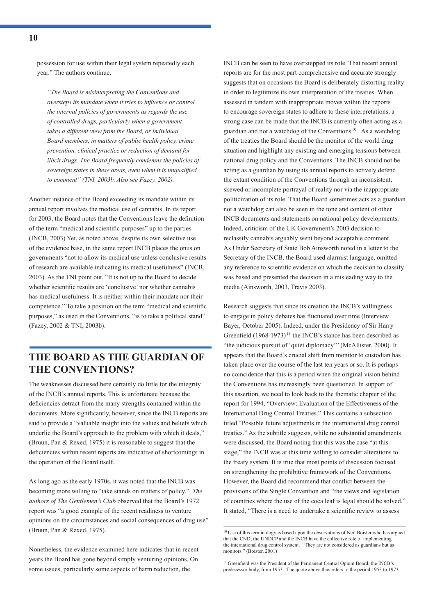possession for use within their legal system repeatedly each year." The authors continue,

*"The Board is misinterpreting the Conventions and oversteps its mandate when it tries to influence or control the internal policies of governments as regards the use of controlled drugs, particularly when a government takes a different view from the Board, or individual Board members, in matters of public health policy, crime prevention, clinical practice or reduction of demand for illicit drugs. The Board frequently condemns the policies of sovereign states in these areas, even when it is unqualified to comment" (TNI, 2003b. Also see Fazey, 2002).* 

Another instance of the Board exceeding its mandate within its annual report involves the medical use of cannabis. In its report for 2003, the Board notes that the Conventions leave the definition of the term "medical and scientific purposes" up to the parties (INCB, 2003) Yet, as noted above, despite its own selective use of the evidence base, in the same report INCB places the onus on governments "not to allow its medical use unless conclusive results of research are available indicating its medical usefulness" (INCB, 2003). As the TNI point out, "It is not up to the Board to decide whether scientific results are 'conclusive' nor whether cannabis has medical usefulness. It is neither within their mandate nor their competence." To take a position on the term "medical and scientific purposes," as used in the Conventions, "is to take a political stand" (Fazey, 2002 & TNI, 2003b).

# **THE BOARD AS THE GUARDIAN OF THE CONVENTIONS?**

The weaknesses discussed here certainly do little for the integrity of the INCB's annual reports. This is unfortunate because the deficiencies detract from the many strengths contained within the documents. More significantly, however, since the INCB reports are said to provide a "valuable insight into the values and beliefs which underlie the Board's approach to the problem with which it deals," (Bruun, Pan & Rexed, 1975) it is reasonable to suggest that the deficiencies within recent reports are indicative of shortcomings in the operation of the Board itself.

As long ago as the early 1970s, it was noted that the INCB was becoming more willing to "take stands on matters of policy." *The authors of The Gentlemen's Club* observed that the Board's 1972 report was "a good example of the recent readiness to venture opinions on the circumstances and social consequences of drug use" (Bruun, Pan & Rexed, 1975).

Nonetheless, the evidence examined here indicates that in recent years the Board has gone beyond simply venturing opinions. On some issues, particularly some aspects of harm reduction, the

INCB can be seen to have overstepped its role. That recent annual reports are for the most part comprehensive and accurate strongly suggests that on occasions the Board is deliberately distorting reality in order to legitimize its own interpretation of the treaties. When assessed in tandem with inappropriate moves within the reports to encourage sovereign states to adhere to these interpretations, a strong case can be made that the INCB is currently often acting as a guardian and not a watchdog of the Conventions 10. As a watchdog of the treaties the Board should be the monitor of the world drug situation and highlight any existing and emerging tensions between national drug policy and the Conventions. The INCB should not be acting as a guardian by using its annual reports to actively defend the extant condition of the Conventions through an inconsistent, skewed or incomplete portrayal of reality nor via the inappropriate politicization of its role. That the Board sometimes acts as a guardian not a watchdog can also be seen in the tone and content of other INCB documents and statements on national policy developments. Indeed, criticism of the UK Government's 2003 decision to reclassify cannabis arguably went beyond acceptable comment. As Under Secretary of State Bob Ainsworth noted in a letter to the Secretary of the INCB, the Board used alarmist language, omitted any reference to scientific evidence on which the decision to classify was based and presented the decision in a misleading way to the media (Ainsworth, 2003, Travis 2003).

Research suggests that since its creation the INCB's willingness to engage in policy debates has fluctuated over time (Interview Bayer, October 2005). Indeed, under the Presidency of Sir Harry Greenfield  $(1968-1973)^{11}$  the INCB's stance has been described as "the judicious pursuit of 'quiet diplomacy'" (McAllister, 2000). It appears that the Board's crucial shift from monitor to custodian has taken place over the course of the last ten years or so. It is perhaps no coincidence that this is a period when the original vision behind the Conventions has increasingly been questioned. In support of this assertion, we need to look back to the thematic chapter of the report for 1994, "Overview: Evaluation of the Effectiveness of the International Drug Control Treaties." This contains a subsection titled "Possible future adjustments in the international drug control treaties." As the subtitle suggests, while no substantial amendments were discussed, the Board noting that this was the case "at this stage," the INCB was at this time willing to consider alterations to the treaty system. It is true that most points of discussion focused on strengthening the prohibitive framework of the Conventions. However, the Board did recommend that conflict between the provisions of the Single Convention and "the views and legislation of countries where the use of the coca leaf is legal should be solved." It stated, "There is a need to undertake a scientific review to assess

<sup>&</sup>lt;sup>10</sup> Use of this terminology is based upon the observations of Neil Boister who has argued that the CND, the UNDCP and the INCB have the collective role of implementing the international drug control system. "They are not considered as guardians but as monitors." (Boister, 2001)

<sup>&</sup>lt;sup>11</sup> Greenfield was the President of the Permanent Central Opium Board, the INCB's predecessor body, from 1953. The quote above thus refers to the period 1953 to 1973.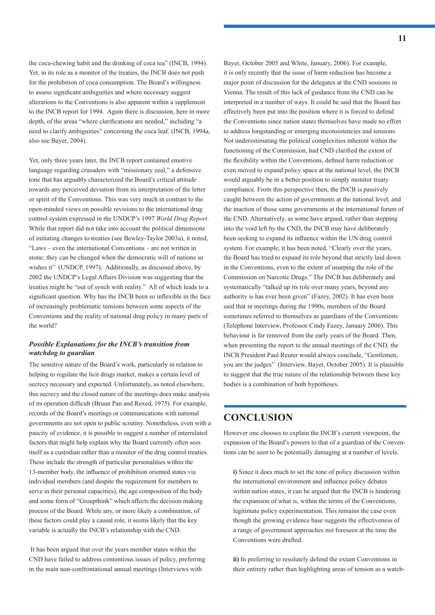the coca-chewing habit and the drinking of coca tea" (INCB, 1994). Yet, in its role as a monitor of the treaties, the INCB does not push for the prohibition of coca consumption. The Board's willingness to assess significant ambiguities and where necessary suggest alterations to the Conventions is also apparent within a supplement to the INCB report for 1994. Again there is discussion, here in more depth, of the areas "where clarifications are needed," including "a need to clarify ambiguities" concerning the coca leaf. (INCB, 1994a, also see Bayer, 2004).

Yet, only three years later, the INCB report contained emotive language regarding crusaders with "missionary zeal;" a defensive tone that has arguably characterized the Board's critical attitude towards any perceived deviation from its interpretation of the letter or spirit of the Conventions. This was very much in contrast to the open-minded views on possible revisions to the international drug control system expressed in the UNDCP's 1997 *World Drug Report*. While that report did not take into account the political dimensions of initiating changes to treaties (see Bewley-Taylor 2003a), it noted, "Laws – even the international Conventions – are not written in stone; they can be changed when the democratic will of nations so wishes it" (UNDCP, 1997). Additionally, as discussed above, by 2002 the UNDCP's Legal Affairs Division was suggesting that the treaties might be "out of synch with reality." All of which leads to a significant question. Why has the INCB been so inflexible in the face of increasingly problematic tensions between some aspects of the Conventions and the reality of national drug policy in many parts of the world?

## *Possible Explanations for the INCB's transition from watchdog to guardian*

The sensitive nature of the Board's work, particularly in relation to helping to regulate the licit drugs market, makes a certain level of secrecy necessary and expected. Unfortunately, as noted elsewhere, this secrecy and the closed nature of the meetings does make analysis of its operation difficult (Bruun Pan and Rexed, 1975). For example, records of the Board's meetings or communications with national governments are not open to public scrutiny. Nonetheless, even with a paucity of evidence, it is possible to suggest a number of interrelated factors that might help explain why the Board currently often sees itself as a custodian rather than a monitor of the drug control treaties. These include the strength of particular personalities within the 13-member body, the influence of prohibition oriented states via individual members (and despite the requirement for members to serve in their personal capacities), the age composition of the body and some form of "Groupthink" which affects the decision making process of the Board. While any, or more likely a combination, of these factors could play a causal role, it seems likely that the key variable is actually the INCB's relationship with the CND.

 It has been argued that over the years member states within the CND have failed to address contentious issues of policy, preferring in the main non-confrontational annual meetings (Interviews with

Bayer, October 2005 and White, January, 2006). For example, it is only recently that the issue of harm reduction has become a major point of discussion for the delegates at the CND sessions in Vienna. The result of this lack of guidance from the CND can be interpreted in a number of ways. It could be said that the Board has effectively been put into the position where it is forced to defend the Conventions since nation states themselves have made no effort to address longstanding or emerging inconsistencies and tensions. Not underestimating the political complexities inherent within the functioning of the Commission, had CND clarified the extent of the flexibility within the Conventions, defined harm reduction or even moved to expand policy space at the national level, the INCB would arguably be in a better position to simply monitor treaty compliance. From this perspective then, the INCB is passively caught between the action of governments at the national level, and the inaction of those same governments at the international forum of the CND. Alternatively, as some have argued, rather than stepping into the void left by the CND, the INCB may have deliberately been seeking to expand its influence within the UN drug control system. For example, it has been noted, "Clearly over the years, the Board has tried to expand its role beyond that strictly laid down in the Conventions, even to the extent of usurping the role of the Commission on Narcotic Drugs." The INCB has deliberately and systematically "talked up its role over many years, beyond any authority is has ever been given" (Fazey, 2002). It has even been said that in meetings during the 1990s, members of the Board sometimes referred to themselves as guardians of the Conventions (Telephone Interview, Professor Cindy Fazey, January 2006). This behaviour is far removed from the early years of the Board. Then, when presenting the report to the annual meetings of the CND, the INCB President Paul Reuter would always conclude, "Gentlemen, you are the judges" (Interview, Bayer, October 2005). It is plausible to suggest that the true nature of the relationship between these key bodies is a combination of both hypotheses.

## **CONCLUSION**

However one chooses to explain the INCB's current viewpoint, the expansion of the Board's powers to that of a guardian of the Conventions can be seen to be potentially damaging at a number of levels.

**i)** Since it does much to set the tone of policy discussion within the international environment and influence policy debates within nation states, it can be argued that the INCB is hindering the expansion of what is, within the terms of the Conventions, legitimate policy experimentation. This remains the case even though the growing evidence base suggests the effectiveness of a range of government approaches not foreseen at the time the Conventions were drafted.

**ii)** In preferring to resolutely defend the extant Conventions in their entirety rather than highlighting areas of tension as a watch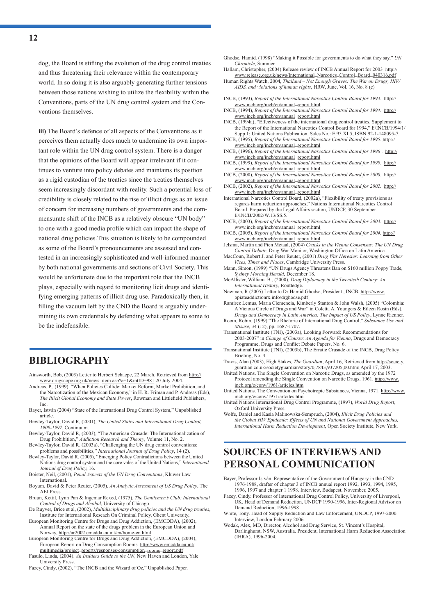dog, the Board is stifling the evolution of the drug control treaties and thus threatening their relevance within the contemporary world. In so doing it is also arguably generating further tensions between those nations wishing to utilize the flexibility within the Conventions, parts of the UN drug control system and the Conventions themselves.

**iii)** The Board's defence of all aspects of the Conventions as it perceives them actually does much to undermine its own important role within the UN drug control system. There is a danger that the opinions of the Board will appear irrelevant if it continues to venture into policy debates and maintains its position as a rigid custodian of the treaties since the treaties themselves seem increasingly discordant with reality. Such a potential loss of credibility is closely related to the rise of illicit drugs as an issue of concern for increasing numbers of governments and the commensurate shift of the INCB as a relatively obscure "UN body" to one with a good media profile which can impact the shape of national drug policies.This situation is likely to be compounded as some of the Board's pronouncements are assessed and contested in an increasingly sophisticated and well-informed manner by both national governments and sections of Civil Society. This would be unfortunate due to the important role that the INCB plays, especially with regard to monitoring licit drugs and identifying emerging patterns of illicit drug use. Paradoxically then, in filling the vacuum left by the CND the Board is arguably undermining its own credentials by defending what appears to some to be the indefensible.

# **BIBLIOGRAPHY**

- Ainsworth, Bob, (2003) Letter to Herbert Schaepe, 22 March. Retrieved from http:// www.drugscope.org.uk/news\_item.asp?a=1&intID=981 20 July 2004.
- Andreas, P., (1999). "When Policies Collide: Market Reform, Market Prohibition, and the Narcotization of the Mexican Economy," in H. R. Friman and P. Andreas (Eds), *The Illicit Global Economy and State Power*, Rowman and Littlefield Publishers. Inc.
- Bayer, István (2004) "State of the International Drug Control System," Unpublished article.
- Bewley-Taylor, David R, (2001), *The United States and International Drug Control, 1909-1997*, Continuum.
- Bewley-Taylor, David R, (2003), "The American Crusade: The Internationalization of Drug Prohibition," *Addiction Research and Theory*, Volume 11, No. 2. Bewley-Taylor, David R. (2003a), "Challenging the UN drug control conventions:
- problems and possibilities," *International Journal of Drug Policy*, 14 (2). Bewley-Taylor, David R, (2005), "Emerging Policy Contradictions between the United
- Nations drug control system and the core vales of the United Nations," *International Journal of Drug Policy*, 16.
- Boister, Neil, (2001), *Penal Aspects of the UN Drug Conventions*, Kluwer Law International.
- Boyum, David & Peter Reuter, (2005), *An Analytic Assessment of US Drug Policy*, The AEI Press.
- Bruun, Kettil, Lynn Pan & Ingemar Rexed, (1975), *The Gentlemen's Club: International Control of Drugs and Alcohol*, University of Chicago. De Ruyver, Brice et al, (2002), *Multidisciplinary drug policies and the UN drug treaties*,
- Institute for International Reseach On Criminal Policy, Ghent University, European Monitoring Centre for Drugs and Drug Addiction, (EMCDDA), (2002), Annual Report on the state of the drugs problem in the European Union and
- Norway, http://ar2002.emcdda.eu.int/en/home-en.html European Monitoring Centre for Drugs and Drug Addiction, (EMCDDA), (2004), European Report on Drug Consumption Rooms. http://www.emcdda.eu.int/ multimedia/project\_reports/responses/consumption\_rooms\_report.pdf
- Fasulo, Linda, (2004). *An Insiders Guide to the UN*, New Haven and London, Yale University Press.
- Fazey, Cindy, (2002), "The INCB and the Wizard of Oz," Unpublished Paper.

Ghodse, Hamid. (1998) "Making it Possible for governments to do what they say," *UN Chronicle*, Summer.

- Hallam, Christopher, (2004) Release review of INCB Annual Report for 2003 http://
- www.release.org.uk/news/International\_Narcotics\_Control\_Board\_040316.pdf Human Rights Watch, 2004, *Thailand – Not Enough Graves: The War on Drugs, HIV/ AIDS, and violations of human rights*, HRW, June, Vol. 16, No. 8 (c)
- INCB, (1993), *Report of the International Narcotics Control Board for 1993*. http:// www.incb.org/incb/en/annual\_report.html
- INCB, (1994), *Report of the International Narcotics Control Board for 1994*. http:// www.incb.org/incb/en/annual\_report.html
- INCB, (1994a), "Effectiveness of the international drug control treaties, Supplement to the Report of the International Narcotics Control Board for 1994," E/INCB/1994/1/ Supp.1; United Nations Publication, Sales No.: E.95.XI.5, ISBN 92-1-148095-7.
- INCB, (1995), *Report of the International Narcotics Control Board for 1995*. http:// www.incb.org/incb/en/annual\_report.html
- INCB, (1996), *Report of the International Narcotics Control Board for 1996* . http:// www.incb.org/incb/en/annual\_report.html
- INCB, (1999), *Report of the International Narcotics Control Board for 1999*. http:// www.incb.org/incb/en/annual\_report.html
- INCB, (2000), *Report of the International Narcotics Control Board for 2000*. http:// www.incb.org/incb/en/annual\_report.html
- INCB, (2002), *Report of the International Narcotics Control Board for 2002*. http:// www.incb.org/incb/en/annual\_report.html
- International Narcotics Control Board, (2002a), "Flexibility of treaty provisions as regards harm reduction approaches," Nations International Narcotics Control Board. Prepared by the Legal Affairs section, UNDCP, 30 September. E/INCB/2002/W.13/SS.5.
- INCB, (2003), *Report of the International Narcotics Control Board for 2003*. http:// www.incb.org/incb/en/annual\_report.html
- INCB, (2005), *Report of the International Narcotics Control Board for 2004*. http:// www.incb.org/incb/en/annual\_report.html
- Jelsma, Martin and Pien Metaal, (2004) *Cracks in the Vienna Consensus: The UN Drug*  **Control Debate**, Drug War Monitor, Washington Office on Latin America.
- MacCoun, Robert J. and Peter Reuter, (2001) *Drug War Heresies: Learning from Other Vices, Times and Places*, Cambridge University Press.
- Mann, Simon, (1999) "UN Drugs Agency Threatens Ban on \$160 million Poppy Trade, *Sydney Morning Herald*, December 18.
- McAllister, William. B., (2000), *Drug Diplomacy in the Twentieth Century: An International History*, Routledge.
- Newman, R (2005) Letter to Dr Hamid Ghodse, President , INCB. http://www. opiateaddictionrx.info/drghodse.pdf
- Ramírez Lemus, María Clemencia, Kimberly Stanton & John Walsh, (2005) "Colombia: A Vicious Circle of Drugs and War" in Coletta A. Youngers & Eileen Rosin (Eds), *Drugs and Democracy in Latin America: The Impact of US Policy*, Lynne Rienner.
- Room, Robin, (1999) "The Rhetoric of International Drug Control," *Substance Use and Misuse*, 34 (12), pp. 1687-1707.
- Transnational Institute (TNI), (2003a), Looking Forward: Recommendations for 2003-2007" in *Change of Course: An Agenda for Vienna*, Drugs and Democracy Programme, Drugs and Conflict Debate Papers, No. 6.
- Transnational Institute (TNI), (2003b), The Erratic Crusade of the INCB, Drug Policy Briefing, No. 4.
- Travis, Alan (2003), High Stakes, *The Guardian*, April 16, Retrieved from http://society. guardian.co.uk/societyguardian/story/0,7843,937205,00.html April 17, 2003.
- United Nations. The Single Convention on Narcotic Drugs, as amended by the 1972 Protocol amending the Single Convention on Narcotic Drugs, 1961. http://www. incb.org/e/conv/1961/articles.htm
- United Nations. The Convention on Psychotropic Substances, Vienna, 1971. http://www. incb.org/e/conv/1971/artciles.htm
- United Nations International Drug Control Programme, (1997), *World Drug Report*, Oxford University Press.
- Wolfe, Daniel and Kasia Malinowska-Sempruch, (2004), *Illicit Drug Policies and the Global HIV Epidemic: Effects of UN and National Government Approaches, International Harm Reduction Development*, Open Society Institute, New York.

# **SOURCES OF INTERVIEWS AND PERSONAL COMMUNICATION**

- Bayer, Professor István. Representative of the Government of Hungary in the CND 1976-1988, drafter of chapter 3 of INCB annual report 1992, 1993, 1994, 1995, 1996, 1997 and chapter 1 1998. Interview, Budapest, November, 2005.
- Fazey, Cindy. Professor of International Drug Control Policy, University of Liverpool, UK. Head of Demand Reduction, UNDCP 1990-1996, Inter-Regional Advisor on Demand Reduction, 1996-1998.
- White, Tony. Head of Supply Reduction and Law Enforcement, UNDCP, 1997-2000. Interview, London February 2006.
- Wodak, Alex, MD, Director, Alcohol and Drug Service, St. Vincent's Hospital, Darlinghurst, NSW, Australia. President, International Harm Reduction Association (IHRA), 1996-2004.